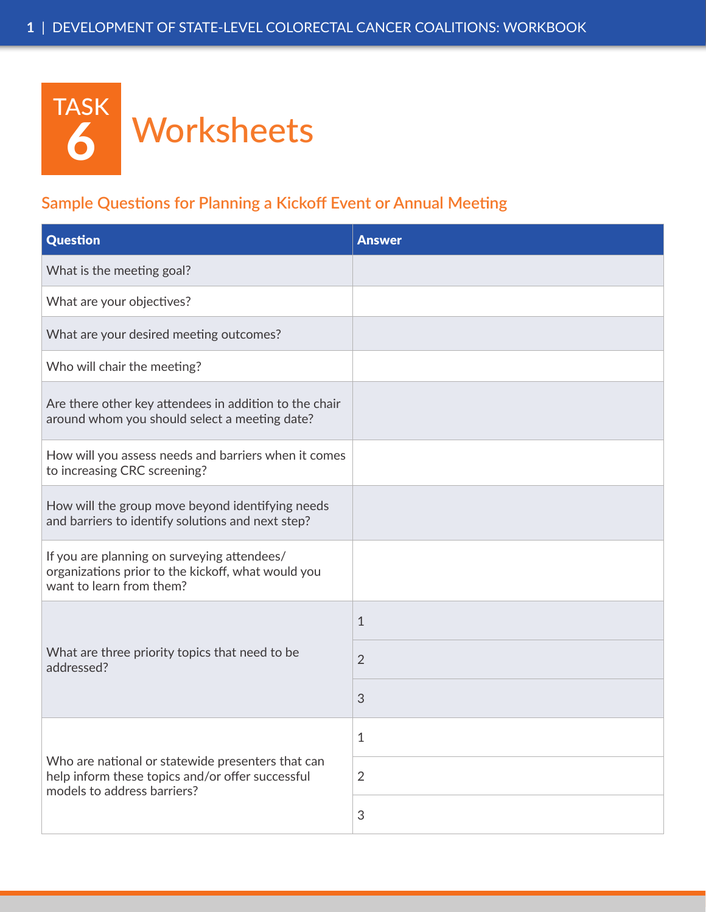

## **Sample Questions for Planning a Kickoff Event or Annual Meeting**

| <b>Question</b>                                                                                                                      | <b>Answer</b>             |
|--------------------------------------------------------------------------------------------------------------------------------------|---------------------------|
| What is the meeting goal?                                                                                                            |                           |
| What are your objectives?                                                                                                            |                           |
| What are your desired meeting outcomes?                                                                                              |                           |
| Who will chair the meeting?                                                                                                          |                           |
| Are there other key attendees in addition to the chair<br>around whom you should select a meeting date?                              |                           |
| How will you assess needs and barriers when it comes<br>to increasing CRC screening?                                                 |                           |
| How will the group move beyond identifying needs<br>and barriers to identify solutions and next step?                                |                           |
| If you are planning on surveying attendees/<br>organizations prior to the kickoff, what would you<br>want to learn from them?        |                           |
| What are three priority topics that need to be<br>addressed?                                                                         | $\mathbf{1}$              |
|                                                                                                                                      | $\overline{2}$            |
|                                                                                                                                      | 3                         |
| Who are national or statewide presenters that can<br>help inform these topics and/or offer successful<br>models to address barriers? | 1                         |
|                                                                                                                                      | $\overline{2}$            |
|                                                                                                                                      | $\ensuremath{\mathsf{3}}$ |